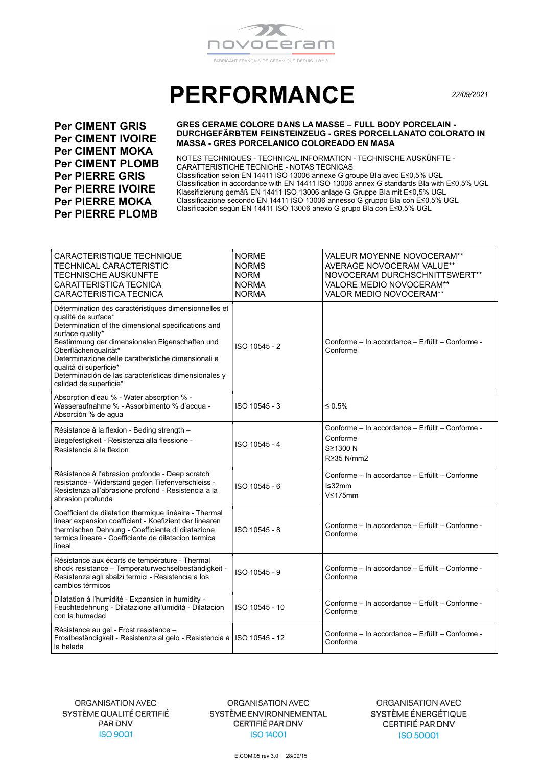

## **PERFORMANCE**

22/09/2021

**Per CIMENT GRIS Per CIMENT IVOIRE Per CIMENT MOKA Per CIMENT PLOMB Per PIERRE GRIS Per PIERRE IVOIRE Per PIERRE MOKA Per PIERRE PLOMB** 

## **GRES CERAME COLORE DANS LA MASSE - FULL BODY PORCELAIN -**DURCHGEFÄRBTEM FEINSTEINZEUG - GRES PORCELLANATO COLORATO IN **MASSA - GRES PORCELANICO COLOREADO EN MASA**

NOTES TECHNIQUES - TECHNICAL INFORMATION - TECHNISCHE AUSKÜNFTE -CARATTERISTICHE TECNICHE - NOTAS TÉCNICAS Classification selon EN 14411 ISO 13006 annexe G groupe Bla avec E≤0,5% UGL Classification in accordance with EN 14411 ISO 13006 annex G standards Bla with E≤0,5% UGL Klassifizierung gemäß EN 14411 ISO 13006 anlage G Gruppe Bla mit E≤0,5% UGL Classificazione secondo EN 14411 ISO 13006 annesso G gruppo Bla con E≤0,5% UGL Clasificaciòn segùn EN 14411 ISO 13006 anexo G grupo Bla con E≤0,5% UGL

| CARACTERISTIQUE TECHNIQUE<br>TECHNICAL CARACTERISTIC<br><b>TECHNISCHE AUSKUNFTE</b><br>CARATTERISTICA TECNICA<br>CARACTERISTICA TECNICA                                                                                                                                                                                                                                                              | <b>NORME</b><br><b>NORMS</b><br><b>NORM</b><br><b>NORMA</b><br><b>NORMA</b> | VALEUR MOYENNE NOVOCERAM**<br>AVERAGE NOVOCERAM VALUE**<br>NOVOCERAM DURCHSCHNITTSWERT**<br>VALORE MEDIO NOVOCERAM**<br>VALOR MEDIO NOVOCERAM** |
|------------------------------------------------------------------------------------------------------------------------------------------------------------------------------------------------------------------------------------------------------------------------------------------------------------------------------------------------------------------------------------------------------|-----------------------------------------------------------------------------|-------------------------------------------------------------------------------------------------------------------------------------------------|
| Détermination des caractéristiques dimensionnelles et<br>qualité de surface*<br>Determination of the dimensional specifications and<br>surface quality*<br>Bestimmung der dimensionalen Eigenschaften und<br>Oberflächenqualität*<br>Determinazione delle caratteristiche dimensionali e<br>qualità di superficie*<br>Determinación de las características dimensionales y<br>calidad de superficie* | ISO 10545 - 2                                                               | Conforme – In accordance – Erfüllt – Conforme -<br>Conforme                                                                                     |
| Absorption d'eau % - Water absorption % -<br>Wasseraufnahme % - Assorbimento % d'acqua -<br>Absorciòn % de agua                                                                                                                                                                                                                                                                                      | ISO 10545 - 3                                                               | ≤ 0.5%                                                                                                                                          |
| Résistance à la flexion - Beding strength -<br>Biegefestigkeit - Resistenza alla flessione -<br>Resistencia à la flexion                                                                                                                                                                                                                                                                             | ISO 10545 - 4                                                               | Conforme - In accordance - Erfüllt - Conforme -<br>Conforme<br>S≥1300 N<br>R≥35 N/mm2                                                           |
| Résistance à l'abrasion profonde - Deep scratch<br>resistance - Widerstand gegen Tiefenverschleiss -<br>Resistenza all'abrasione profond - Resistencia a la<br>abrasion profunda                                                                                                                                                                                                                     | ISO 10545 - 6                                                               | Conforme – In accordance – Erfüllt – Conforme<br>$l$ $\leq$ 32mm<br>V≤175mm                                                                     |
| Coefficient de dilatation thermique linéaire - Thermal<br>linear expansion coefficient - Koefizient der linearen<br>thermischen Dehnung - Coefficiente di dilatazione<br>termica lineare - Coefficiente de dilatacion termica<br>lineal                                                                                                                                                              | ISO 10545 - 8                                                               | Conforme - In accordance - Erfüllt - Conforme -<br>Conforme                                                                                     |
| Résistance aux écarts de température - Thermal<br>shock resistance - Temperaturwechselbeständigkeit -<br>Resistenza agli sbalzi termici - Resistencia a los<br>cambios térmicos                                                                                                                                                                                                                      | ISO 10545 - 9                                                               | Conforme - In accordance - Erfüllt - Conforme -<br>Conforme                                                                                     |
| Dilatation à l'humidité - Expansion in humidity -<br>Feuchtedehnung - Dilatazione all'umidità - Dilatacion<br>con la humedad                                                                                                                                                                                                                                                                         | ISO 10545 - 10                                                              | Conforme - In accordance - Erfüllt - Conforme -<br>Conforme                                                                                     |
| Résistance au gel - Frost resistance -<br>Frostbeständigkeit - Resistenza al gelo - Resistencia a<br>la helada                                                                                                                                                                                                                                                                                       | ISO 10545 - 12                                                              | Conforme - In accordance - Erfüllt - Conforme -<br>Conforme                                                                                     |

ORGANISATION AVEC SYSTÈME ENVIRONNEMENTAL CERTIFIÉ PAR DNV **ISO 14001** 

ORGANISATION AVEC SYSTÈME ÉNERGÉTIQUE **CERTIFIÉ PAR DNV ISO 50001** 

E.COM.05 rev 3.0 28/09/15